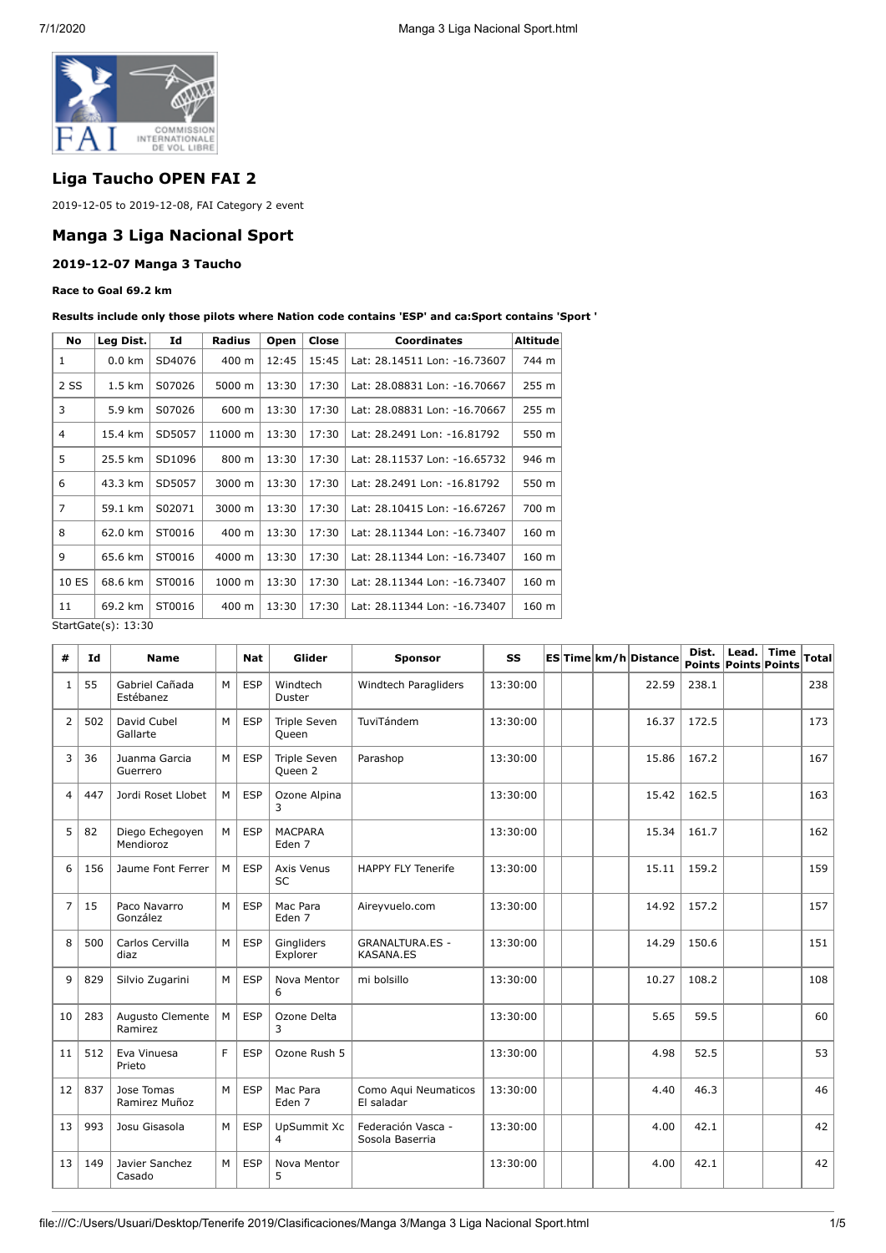

# **Liga Taucho OPEN FAI 2**

2019-12-05 to 2019-12-08, FAI Category 2 event

# **Manga 3 Liga Nacional Sport**

#### **2019-12-07 Manga 3 Taucho**

#### **Race to Goal 69.2 km**

**Results include only those pilots where Nation code contains 'ESP' and ca:Sport contains 'Sport '**

| <b>No</b>           | Leg Dist.        | Id     | <b>Radius</b> | Open  | Close | <b>Coordinates</b>           | Altitude |  |  |  |
|---------------------|------------------|--------|---------------|-------|-------|------------------------------|----------|--|--|--|
| 1                   | $0.0 \text{ km}$ | SD4076 | 400 m         | 12:45 | 15:45 | Lat: 28.14511 Lon: -16.73607 | 744 m    |  |  |  |
| 2SS                 | $1.5 \text{ km}$ | S07026 | 5000 m        | 13:30 | 17:30 | Lat: 28.08831 Lon: -16.70667 | 255 m    |  |  |  |
| 3                   | 5.9 km           | S07026 | 600 m         | 13:30 | 17:30 | Lat: 28.08831 Lon: -16.70667 | 255 m    |  |  |  |
| 4                   | 15.4 km          | SD5057 | 11000 m       | 13:30 | 17:30 | Lat: 28.2491 Lon: -16.81792  | 550 m    |  |  |  |
| 5                   | 25.5 km          | SD1096 | 800 m         | 13:30 | 17:30 | Lat: 28.11537 Lon: -16.65732 | 946 m    |  |  |  |
| 6                   | 43.3 km          | SD5057 | 3000 m        | 13:30 | 17:30 | Lat: 28.2491 Lon: -16.81792  | 550 m    |  |  |  |
| $\overline{7}$      | 59.1 km          | S02071 | 3000 m        | 13:30 | 17:30 | Lat: 28.10415 Lon: -16.67267 | 700 m    |  |  |  |
| 8                   | 62.0 km          | ST0016 | 400 m         | 13:30 | 17:30 | Lat: 28.11344 Lon: -16.73407 | 160 m    |  |  |  |
| 9                   | 65.6 km          | ST0016 | 4000 m        | 13:30 | 17:30 | Lat: 28.11344 Lon: -16.73407 | 160 m    |  |  |  |
| 10 ES               | 68.6 km          | ST0016 | 1000 m        | 13:30 | 17:30 | Lat: 28.11344 Lon: -16.73407 | 160 m    |  |  |  |
| 11                  | 69.2 km          | ST0016 | 400 m         | 13:30 | 17:30 | Lat: 28.11344 Lon: -16.73407 | 160 m    |  |  |  |
| StartGate( c) 13.30 |                  |        |               |       |       |                              |          |  |  |  |

StartGate(s): 13:30

| #              | Id  | <b>Name</b>                  |   | <b>Nat</b> | Glider                        | <b>Sponsor</b>                             | SS       |  | <b>ESTime km/h Distance</b> | Dist. | <b>Points Points Points</b> | Lead. Time | Total |
|----------------|-----|------------------------------|---|------------|-------------------------------|--------------------------------------------|----------|--|-----------------------------|-------|-----------------------------|------------|-------|
| 1              | 55  | Gabriel Cañada<br>Estébanez  | M | <b>ESP</b> | Windtech<br>Duster            | Windtech Paragliders                       | 13:30:00 |  | 22.59                       | 238.1 |                             |            | 238   |
| $\overline{2}$ | 502 | David Cubel<br>Gallarte      | M | <b>ESP</b> | <b>Triple Seven</b><br>Queen  | TuviTándem                                 | 13:30:00 |  | 16.37                       | 172.5 |                             |            | 173   |
| 3              | 36  | Juanma Garcia<br>Guerrero    | M | ESP        | Triple Seven<br>Queen 2       | Parashop                                   | 13:30:00 |  | 15.86                       | 167.2 |                             |            | 167   |
| 4              | 447 | Jordi Roset Llobet           | M | ESP        | Ozone Alpina<br>3             |                                            | 13:30:00 |  | 15.42                       | 162.5 |                             |            | 163   |
| 5              | 82  | Diego Echegoyen<br>Mendioroz | M | ESP        | <b>MACPARA</b><br>Eden 7      |                                            | 13:30:00 |  | 15.34                       | 161.7 |                             |            | 162   |
| 6              | 156 | Jaume Font Ferrer            | M | <b>ESP</b> | Axis Venus<br><b>SC</b>       | <b>HAPPY FLY Tenerife</b>                  | 13:30:00 |  | 15.11                       | 159.2 |                             |            | 159   |
| $\overline{7}$ | 15  | Paco Navarro<br>González     | M | ESP        | Mac Para<br>Eden <sub>7</sub> | Aireyvuelo.com                             | 13:30:00 |  | 14.92                       | 157.2 |                             |            | 157   |
| 8              | 500 | Carlos Cervilla<br>diaz      | M | ESP        | Gingliders<br>Explorer        | <b>GRANALTURA.ES -</b><br><b>KASANA.ES</b> | 13:30:00 |  | 14.29                       | 150.6 |                             |            | 151   |
| 9              | 829 | Silvio Zugarini              | M | ESP        | Nova Mentor<br>6              | mi bolsillo                                | 13:30:00 |  | 10.27                       | 108.2 |                             |            | 108   |
| 10             | 283 | Augusto Clemente<br>Ramirez  | M | <b>ESP</b> | Ozone Delta<br>3              |                                            | 13:30:00 |  | 5.65                        | 59.5  |                             |            | 60    |
| 11             | 512 | Eva Vinuesa<br>Prieto        | F | <b>ESP</b> | Ozone Rush 5                  |                                            | 13:30:00 |  | 4.98                        | 52.5  |                             |            | 53    |
| 12             | 837 | Jose Tomas<br>Ramirez Muñoz  | M | <b>ESP</b> | Mac Para<br>Eden <sub>7</sub> | Como Aqui Neumaticos<br>El saladar         | 13:30:00 |  | 4.40                        | 46.3  |                             |            | 46    |
| 13             | 993 | Josu Gisasola                | M | <b>ESP</b> | UpSummit Xc<br>4              | Federación Vasca -<br>Sosola Baserria      | 13:30:00 |  | 4.00                        | 42.1  |                             |            | 42    |
| 13             | 149 | Javier Sanchez<br>Casado     | M | <b>ESP</b> | Nova Mentor<br>5              |                                            | 13:30:00 |  | 4.00                        | 42.1  |                             |            | 42    |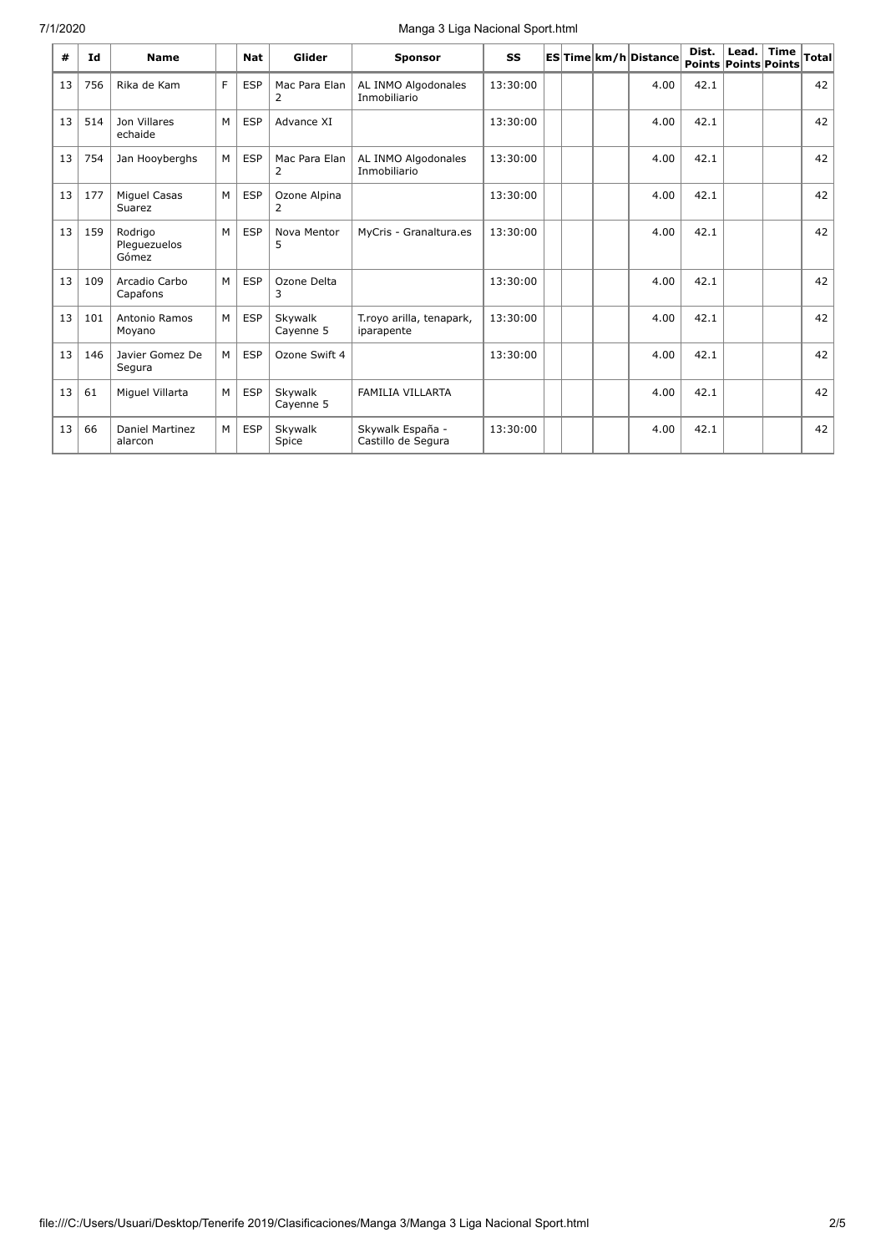# 7/1/2020 Manga 3 Liga Nacional Sport.html

| #  | Id  | <b>Name</b>                      |   | <b>Nat</b> | Glider               | <b>Sponsor</b>                         | SS       |  | ES Time km/h Distance | Dist. | Lead.<br><b>Points Points Points</b> | <b>Time</b> | <b>Total</b> |
|----|-----|----------------------------------|---|------------|----------------------|----------------------------------------|----------|--|-----------------------|-------|--------------------------------------|-------------|--------------|
| 13 | 756 | Rika de Kam                      | E | <b>ESP</b> | Mac Para Elan<br>2   | AL INMO Algodonales<br>Inmobiliario    | 13:30:00 |  | 4.00                  | 42.1  |                                      |             | 42           |
| 13 | 514 | Jon Villares<br>echaide          | M | <b>ESP</b> | Advance XI           |                                        | 13:30:00 |  | 4.00                  | 42.1  |                                      |             | 42           |
| 13 | 754 | Jan Hooyberghs                   | M | <b>ESP</b> | Mac Para Elan<br>2   | AL INMO Algodonales<br>Inmobiliario    | 13:30:00 |  | 4.00                  | 42.1  |                                      |             | 42           |
| 13 | 177 | Miguel Casas<br>Suarez           | M | <b>ESP</b> | Ozone Alpina<br>2    |                                        | 13:30:00 |  | 4.00                  | 42.1  |                                      |             | 42           |
| 13 | 159 | Rodrigo<br>Pleguezuelos<br>Gómez | M | <b>ESP</b> | Nova Mentor<br>5     | MyCris - Granaltura.es                 | 13:30:00 |  | 4.00                  | 42.1  |                                      |             | 42           |
| 13 | 109 | Arcadio Carbo<br>Capafons        | M | <b>ESP</b> | Ozone Delta<br>3     |                                        | 13:30:00 |  | 4.00                  | 42.1  |                                      |             | 42           |
| 13 | 101 | Antonio Ramos<br>Moyano          | M | <b>ESP</b> | Skvwalk<br>Cayenne 5 | T.royo arilla, tenapark,<br>iparapente | 13:30:00 |  | 4.00                  | 42.1  |                                      |             | 42           |
| 13 | 146 | Javier Gomez De<br>Segura        | M | <b>ESP</b> | Ozone Swift 4        |                                        | 13:30:00 |  | 4.00                  | 42.1  |                                      |             | 42           |
| 13 | 61  | Miguel Villarta                  | M | <b>ESP</b> | Skywalk<br>Cayenne 5 | <b>FAMILIA VILLARTA</b>                |          |  | 4.00                  | 42.1  |                                      |             | 42           |
| 13 | 66  | Daniel Martinez<br>alarcon       | M | <b>ESP</b> | Skywalk<br>Spice     | Skywalk España -<br>Castillo de Segura | 13:30:00 |  | 4.00                  | 42.1  |                                      |             | 42           |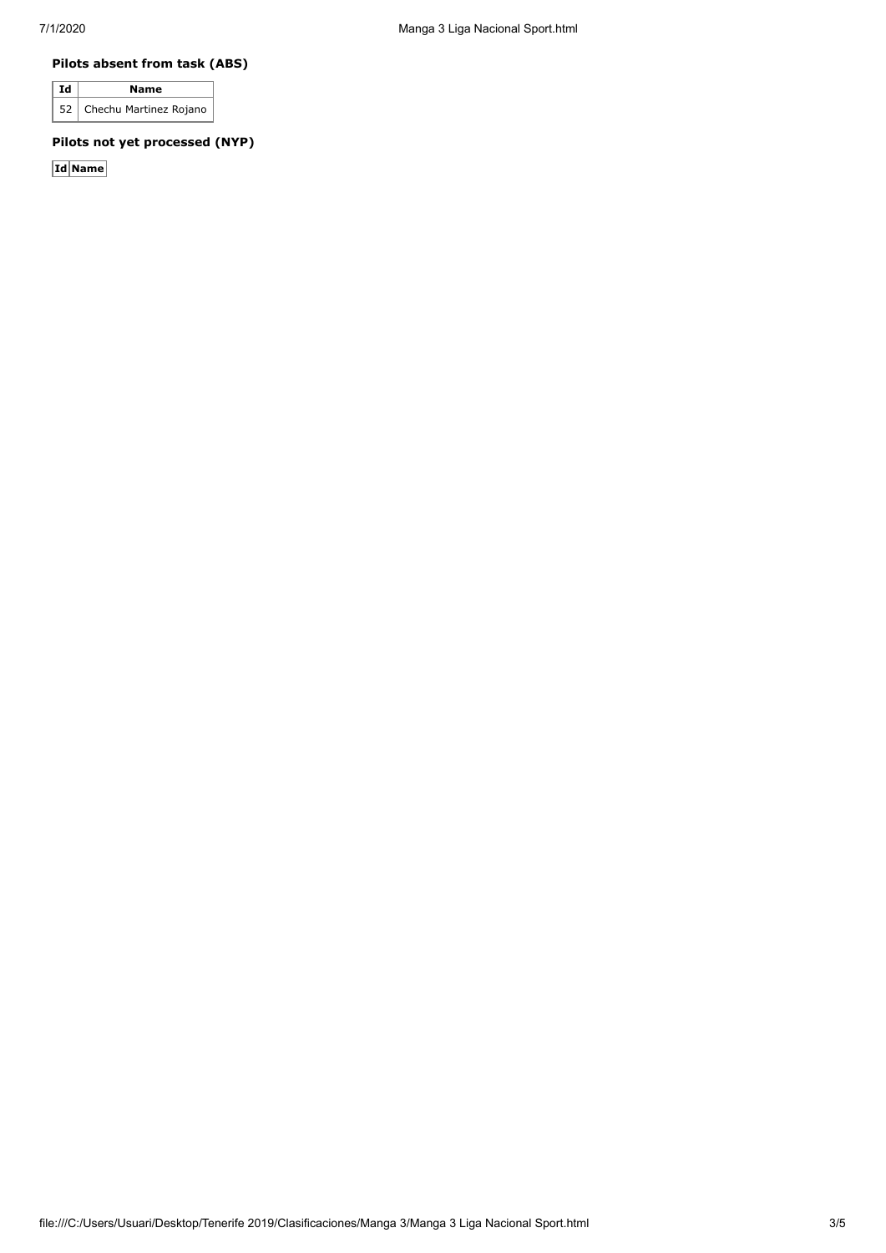### **Pilots absent from task (ABS)**

| Id | Name                        |
|----|-----------------------------|
|    | 52   Chechu Martinez Rojano |

## **Pilots not yet processed (NYP)**

**Id Name**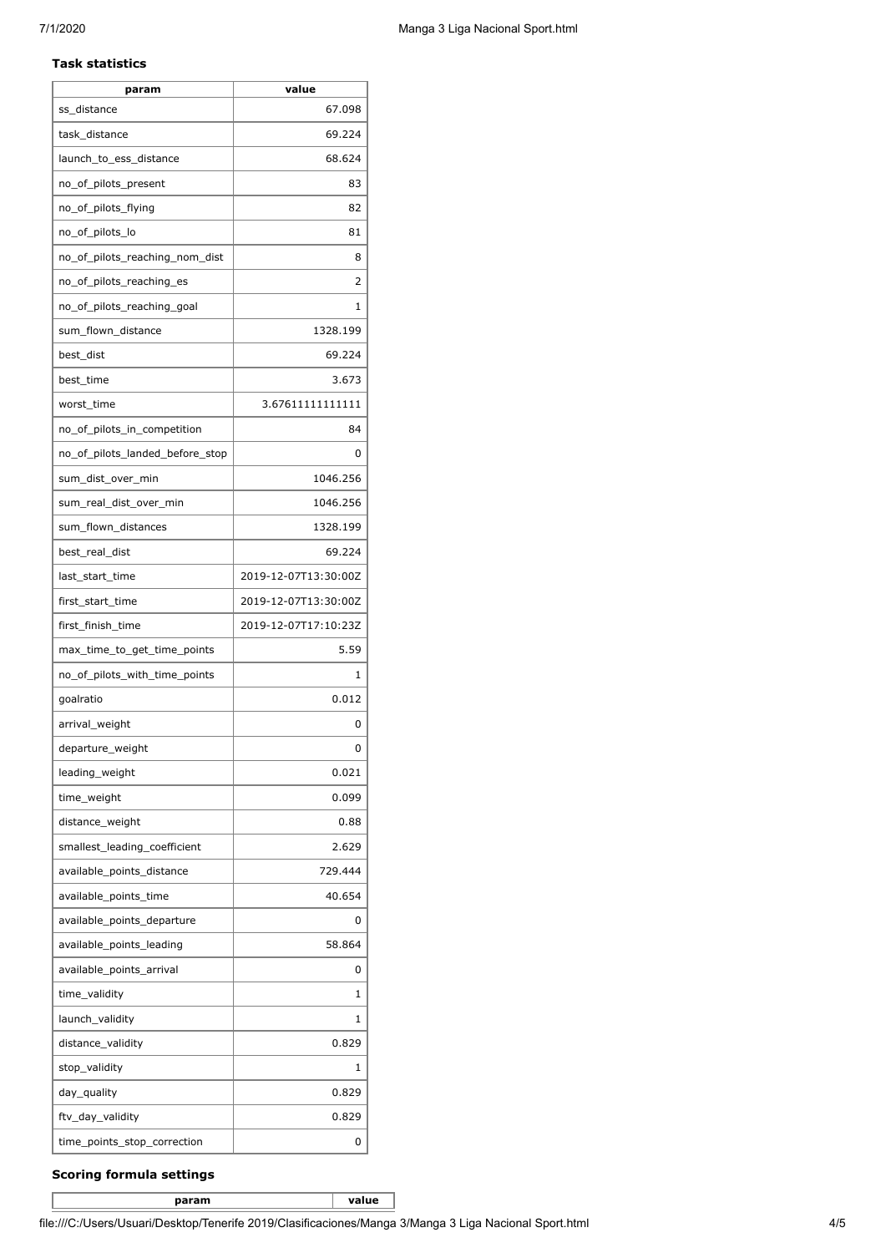#### **Task statistics**

| 67.098<br>ss_distance<br>69.224<br>task distance<br>68.624<br>launch_to_ess_distance |      |
|--------------------------------------------------------------------------------------|------|
|                                                                                      |      |
|                                                                                      |      |
|                                                                                      |      |
| no_of_pilots_present                                                                 | 83   |
| no_of_pilots_flying                                                                  | 82   |
| no_of_pilots_lo                                                                      | 81   |
| no_of_pilots_reaching_nom_dist                                                       | 8    |
| no_of_pilots_reaching_es                                                             | 2    |
| no_of_pilots_reaching_goal                                                           | 1    |
| sum_flown_distance<br>1328.199                                                       |      |
| 69.224<br>best_dist                                                                  |      |
| best_time<br>3.673                                                                   |      |
| worst_time<br>3.67611111111111                                                       |      |
| no_of_pilots_in_competition                                                          | 84   |
| no of pilots landed before stop                                                      | 0    |
| 1046.256<br>sum_dist_over_min                                                        |      |
| sum_real_dist_over_min<br>1046.256                                                   |      |
| 1328.199<br>sum_flown_distances                                                      |      |
| 69.224<br>best_real_dist                                                             |      |
| 2019-12-07T13:30:00Z<br>last_start_time                                              |      |
| 2019-12-07T13:30:00Z<br>first_start_time                                             |      |
| 2019-12-07T17:10:23Z<br>first_finish_time                                            |      |
| max_time_to_get_time_points                                                          | 5.59 |
| no_of_pilots_with_time_points                                                        | 1    |
| 0.012<br>goalratio                                                                   |      |
| arrival_weight                                                                       | 0    |
| departure_weight                                                                     | 0    |
| leading_weight<br>0.021                                                              |      |
| time_weight<br>0.099                                                                 |      |
| distance_weight                                                                      | 0.88 |
| smallest_leading_coefficient<br>2.629                                                |      |
| 729.444<br>available_points_distance                                                 |      |
| available_points_time<br>40.654                                                      |      |
| available_points_departure                                                           | 0    |
| 58.864<br>available_points_leading                                                   |      |
| available_points_arrival                                                             | 0    |
| time_validity                                                                        | 1    |
| launch_validity                                                                      | 1    |
| 0.829<br>distance_validity                                                           |      |
| stop_validity                                                                        | 1    |
| day_quality<br>0.829                                                                 |      |
| ftv_day_validity<br>0.829                                                            |      |
| time_points_stop_correction                                                          | 0    |

### **Scoring formula settings**

**param value**